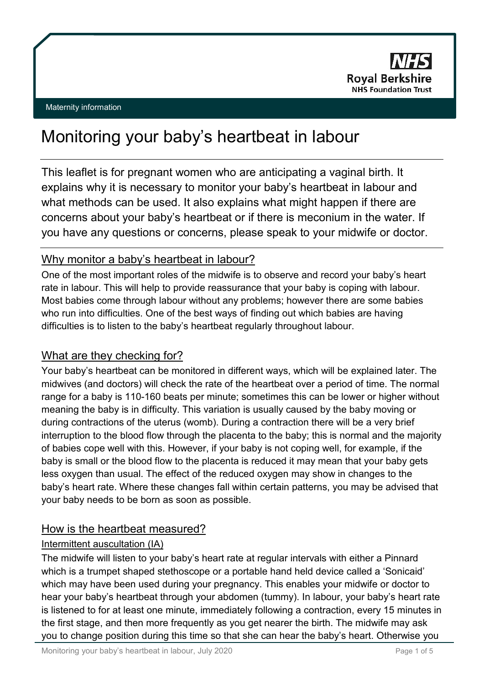

# Monitoring your baby's heartbeat in labour

This leaflet is for pregnant women who are anticipating a vaginal birth. It explains why it is necessary to monitor your baby's heartbeat in labour and what methods can be used. It also explains what might happen if there are concerns about your baby's heartbeat or if there is meconium in the water. If you have any questions or concerns, please speak to your midwife or doctor.

# Why monitor a baby's heartbeat in labour?

One of the most important roles of the midwife is to observe and record your baby's heart rate in labour. This will help to provide reassurance that your baby is coping with labour. Most babies come through labour without any problems; however there are some babies who run into difficulties. One of the best ways of finding out which babies are having difficulties is to listen to the baby's heartbeat regularly throughout labour.

# What are they checking for?

Your baby's heartbeat can be monitored in different ways, which will be explained later. The midwives (and doctors) will check the rate of the heartbeat over a period of time. The normal range for a baby is 110-160 beats per minute; sometimes this can be lower or higher without meaning the baby is in difficulty. This variation is usually caused by the baby moving or during contractions of the uterus (womb). During a contraction there will be a very brief interruption to the blood flow through the placenta to the baby; this is normal and the majority of babies cope well with this. However, if your baby is not coping well, for example, if the baby is small or the blood flow to the placenta is reduced it may mean that your baby gets less oxygen than usual. The effect of the reduced oxygen may show in changes to the baby's heart rate. Where these changes fall within certain patterns, you may be advised that your baby needs to be born as soon as possible.

# How is the heartbeat measured?

## Intermittent auscultation (IA)

The midwife will listen to your baby's heart rate at regular intervals with either a Pinnard which is a trumpet shaped stethoscope or a portable hand held device called a 'Sonicaid' which may have been used during your pregnancy. This enables your midwife or doctor to hear your baby's heartbeat through your abdomen (tummy). In labour, your baby's heart rate is listened to for at least one minute, immediately following a contraction, every 15 minutes in the first stage, and then more frequently as you get nearer the birth. The midwife may ask you to change position during this time so that she can hear the baby's heart. Otherwise you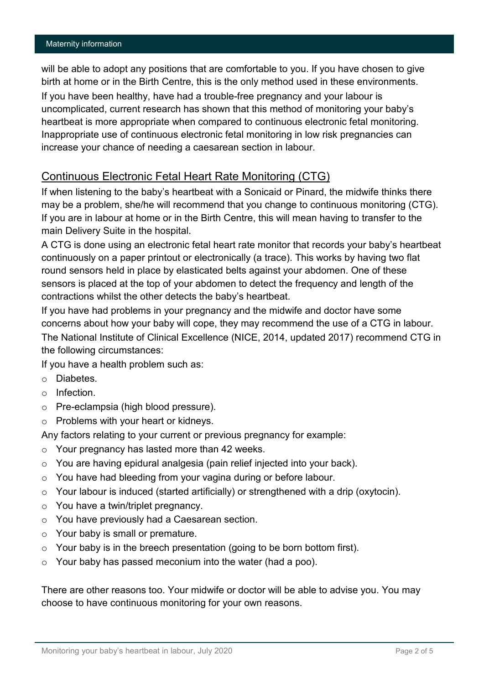#### Maternity information

will be able to adopt any positions that are comfortable to you. If you have chosen to give birth at home or in the Birth Centre, this is the only method used in these environments. If you have been healthy, have had a trouble-free pregnancy and your labour is uncomplicated, current research has shown that this method of monitoring your baby's heartbeat is more appropriate when compared to continuous electronic fetal monitoring. Inappropriate use of continuous electronic fetal monitoring in low risk pregnancies can increase your chance of needing a caesarean section in labour.

## Continuous Electronic Fetal Heart Rate Monitoring (CTG)

If when listening to the baby's heartbeat with a Sonicaid or Pinard, the midwife thinks there may be a problem, she/he will recommend that you change to continuous monitoring (CTG). If you are in labour at home or in the Birth Centre, this will mean having to transfer to the main Delivery Suite in the hospital.

A CTG is done using an electronic fetal heart rate monitor that records your baby's heartbeat continuously on a paper printout or electronically (a trace). This works by having two flat round sensors held in place by elasticated belts against your abdomen. One of these sensors is placed at the top of your abdomen to detect the frequency and length of the contractions whilst the other detects the baby's heartbeat.

If you have had problems in your pregnancy and the midwife and doctor have some concerns about how your baby will cope, they may recommend the use of a CTG in labour. The National Institute of Clinical Excellence (NICE, 2014, updated 2017) recommend CTG in the following circumstances:

If you have a health problem such as:

- o Diabetes.
- o Infection.
- o Pre-eclampsia (high blood pressure).
- o Problems with your heart or kidneys.

Any factors relating to your current or previous pregnancy for example:

- $\circ$  Your pregnancy has lasted more than 42 weeks.
- o You are having epidural analgesia (pain relief injected into your back).
- o You have had bleeding from your vagina during or before labour.
- $\circ$  Your labour is induced (started artificially) or strengthened with a drip (oxytocin).
- o You have a twin/triplet pregnancy.
- o You have previously had a Caesarean section.
- o Your baby is small or premature.
- $\circ$  Your baby is in the breech presentation (going to be born bottom first).
- $\circ$  Your baby has passed meconium into the water (had a poo).

There are other reasons too. Your midwife or doctor will be able to advise you. You may choose to have continuous monitoring for your own reasons.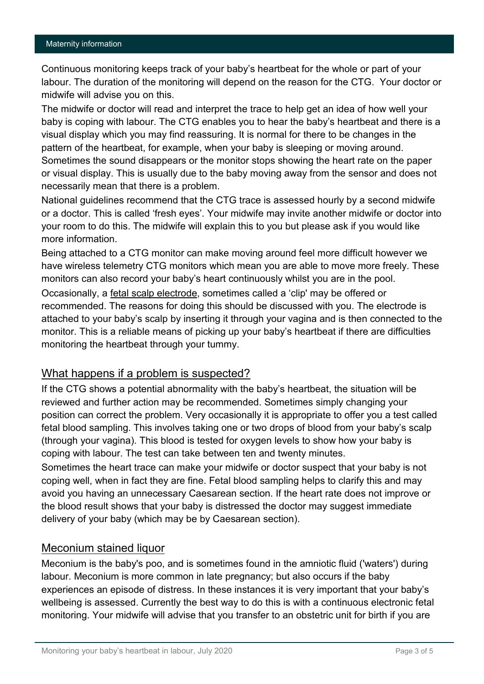Continuous monitoring keeps track of your baby's heartbeat for the whole or part of your labour. The duration of the monitoring will depend on the reason for the CTG. Your doctor or midwife will advise you on this.

The midwife or doctor will read and interpret the trace to help get an idea of how well your baby is coping with labour. The CTG enables you to hear the baby's heartbeat and there is a visual display which you may find reassuring. It is normal for there to be changes in the pattern of the heartbeat, for example, when your baby is sleeping or moving around. Sometimes the sound disappears or the monitor stops showing the heart rate on the paper or visual display. This is usually due to the baby moving away from the sensor and does not necessarily mean that there is a problem.

National guidelines recommend that the CTG trace is assessed hourly by a second midwife or a doctor. This is called 'fresh eyes'. Your midwife may invite another midwife or doctor into your room to do this. The midwife will explain this to you but please ask if you would like more information.

Being attached to a CTG monitor can make moving around feel more difficult however we have wireless telemetry CTG monitors which mean you are able to move more freely. These monitors can also record your baby's heart continuously whilst you are in the pool.

Occasionally, a fetal scalp electrode, sometimes called a 'clip' may be offered or recommended. The reasons for doing this should be discussed with you. The electrode is attached to your baby's scalp by inserting it through your vagina and is then connected to the monitor. This is a reliable means of picking up your baby's heartbeat if there are difficulties monitoring the heartbeat through your tummy.

#### What happens if a problem is suspected?

If the CTG shows a potential abnormality with the baby's heartbeat, the situation will be reviewed and further action may be recommended. Sometimes simply changing your position can correct the problem. Very occasionally it is appropriate to offer you a test called fetal blood sampling. This involves taking one or two drops of blood from your baby's scalp (through your vagina). This blood is tested for oxygen levels to show how your baby is coping with labour. The test can take between ten and twenty minutes.

Sometimes the heart trace can make your midwife or doctor suspect that your baby is not coping well, when in fact they are fine. Fetal blood sampling helps to clarify this and may avoid you having an unnecessary Caesarean section. If the heart rate does not improve or the blood result shows that your baby is distressed the doctor may suggest immediate delivery of your baby (which may be by Caesarean section).

#### Meconium stained liquor

Meconium is the baby's poo, and is sometimes found in the amniotic fluid ('waters') during labour. Meconium is more common in late pregnancy; but also occurs if the baby experiences an episode of distress. In these instances it is very important that your baby's wellbeing is assessed. Currently the best way to do this is with a continuous electronic fetal monitoring. Your midwife will advise that you transfer to an obstetric unit for birth if you are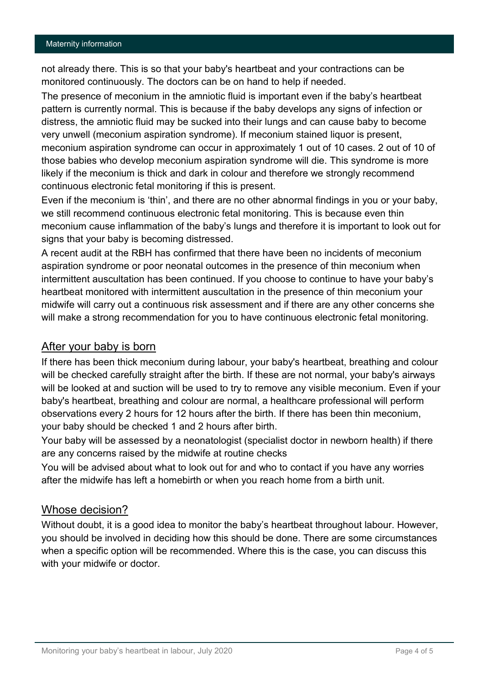not already there. This is so that your baby's heartbeat and your contractions can be monitored continuously. The doctors can be on hand to help if needed.

The presence of meconium in the amniotic fluid is important even if the baby's heartbeat pattern is currently normal. This is because if the baby develops any signs of infection or distress, the amniotic fluid may be sucked into their lungs and can cause baby to become very unwell (meconium aspiration syndrome). If meconium stained liquor is present, meconium aspiration syndrome can occur in approximately 1 out of 10 cases. 2 out of 10 of those babies who develop meconium aspiration syndrome will die. This syndrome is more likely if the meconium is thick and dark in colour and therefore we strongly recommend continuous electronic fetal monitoring if this is present.

Even if the meconium is 'thin', and there are no other abnormal findings in you or your baby, we still recommend continuous electronic fetal monitoring. This is because even thin meconium cause inflammation of the baby's lungs and therefore it is important to look out for signs that your baby is becoming distressed.

A recent audit at the RBH has confirmed that there have been no incidents of meconium aspiration syndrome or poor neonatal outcomes in the presence of thin meconium when intermittent auscultation has been continued. If you choose to continue to have your baby's heartbeat monitored with intermittent auscultation in the presence of thin meconium your midwife will carry out a continuous risk assessment and if there are any other concerns she will make a strong recommendation for you to have continuous electronic fetal monitoring.

#### After your baby is born

If there has been thick meconium during labour, your baby's heartbeat, breathing and colour will be checked carefully straight after the birth. If these are not normal, your baby's airways will be looked at and suction will be used to try to remove any visible meconium. Even if your baby's heartbeat, breathing and colour are normal, a healthcare professional will perform observations every 2 hours for 12 hours after the birth. If there has been thin meconium, your baby should be checked 1 and 2 hours after birth.

Your baby will be assessed by a neonatologist (specialist doctor in newborn health) if there are any concerns raised by the midwife at routine checks

You will be advised about what to look out for and who to contact if you have any worries after the midwife has left a homebirth or when you reach home from a birth unit.

#### Whose decision?

Without doubt, it is a good idea to monitor the baby's heartbeat throughout labour. However, you should be involved in deciding how this should be done. There are some circumstances when a specific option will be recommended. Where this is the case, you can discuss this with your midwife or doctor.